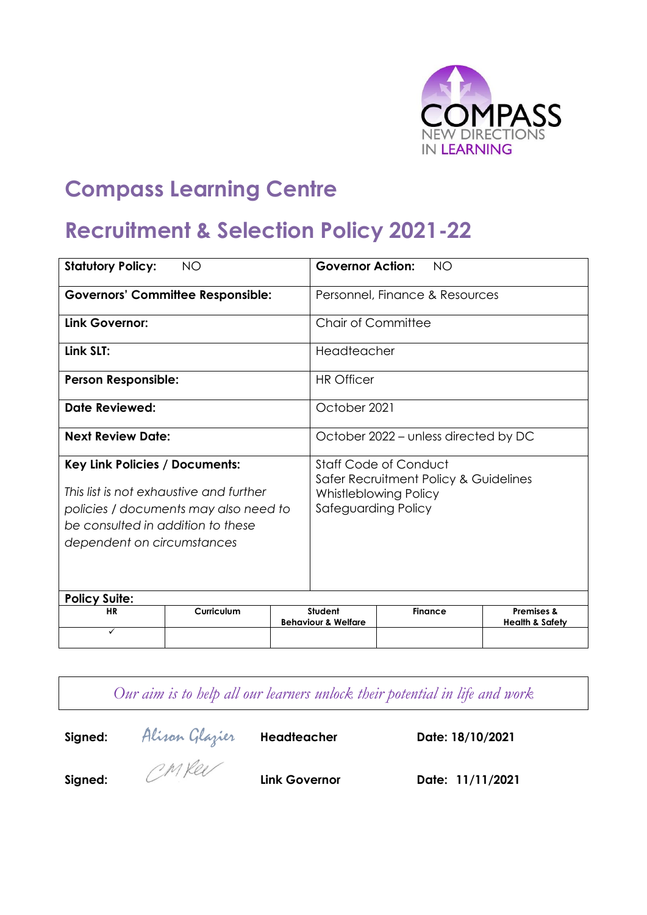

# **Compass Learning Centre**

## **Recruitment & Selection Policy 2021-22**

| <b>NO</b><br><b>Statutory Policy:</b>                                                                                                                                                        |            |  | <b>Governor Action:</b><br><b>NO</b>                                                                                         |                |                                                     |  |
|----------------------------------------------------------------------------------------------------------------------------------------------------------------------------------------------|------------|--|------------------------------------------------------------------------------------------------------------------------------|----------------|-----------------------------------------------------|--|
| <b>Governors' Committee Responsible:</b>                                                                                                                                                     |            |  | Personnel, Finance & Resources                                                                                               |                |                                                     |  |
| Link Governor:                                                                                                                                                                               |            |  | Chair of Committee                                                                                                           |                |                                                     |  |
| Link SLT:                                                                                                                                                                                    |            |  | Headteacher                                                                                                                  |                |                                                     |  |
| <b>Person Responsible:</b>                                                                                                                                                                   |            |  | <b>HR Officer</b>                                                                                                            |                |                                                     |  |
| <b>Date Reviewed:</b>                                                                                                                                                                        |            |  | October 2021                                                                                                                 |                |                                                     |  |
| <b>Next Review Date:</b>                                                                                                                                                                     |            |  | October 2022 – unless directed by DC                                                                                         |                |                                                     |  |
| <b>Key Link Policies / Documents:</b><br>This list is not exhaustive and further<br>policies / documents may also need to<br>be consulted in addition to these<br>dependent on circumstances |            |  | <b>Staff Code of Conduct</b><br>Safer Recruitment Policy & Guidelines<br><b>Whistleblowing Policy</b><br>Safeguarding Policy |                |                                                     |  |
| <b>Policy Suite:</b>                                                                                                                                                                         |            |  |                                                                                                                              |                |                                                     |  |
| <b>HR</b>                                                                                                                                                                                    | Curriculum |  | Student<br><b>Behaviour &amp; Welfare</b>                                                                                    | <b>Finance</b> | <b>Premises &amp;</b><br><b>Health &amp; Safety</b> |  |
| ✓                                                                                                                                                                                            |            |  |                                                                                                                              |                |                                                     |  |

*Our aim is to help all our learners unlock their potential in life and work*

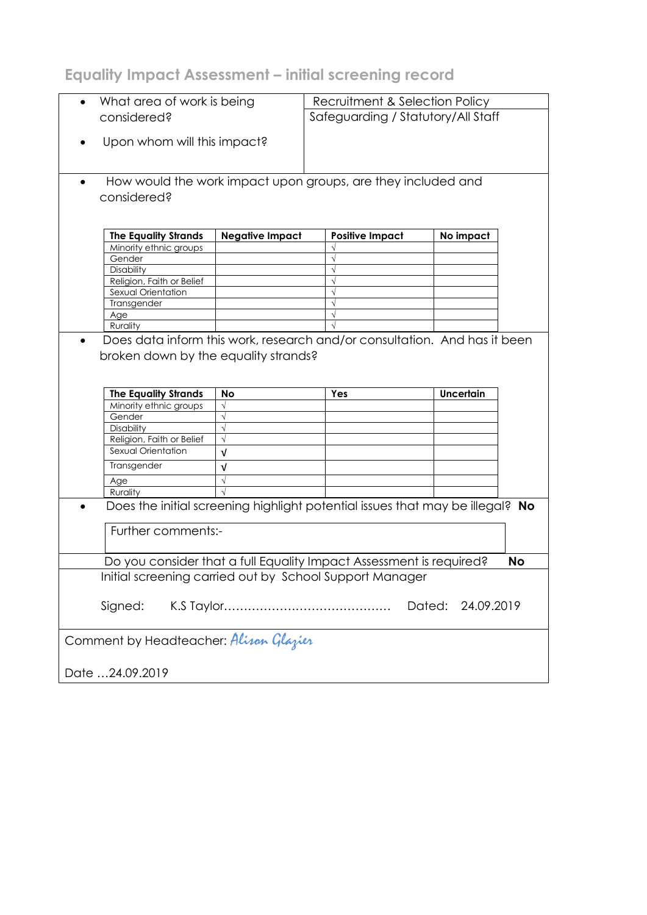**Equality Impact Assessment – initial screening record**

| What area of work is being<br>$\bullet$ |                                        |                        | Recruitment & Selection Policy                                                |                      |           |  |
|-----------------------------------------|----------------------------------------|------------------------|-------------------------------------------------------------------------------|----------------------|-----------|--|
| considered?                             |                                        |                        | Safeguarding / Statutory/All Staff                                            |                      |           |  |
|                                         |                                        |                        |                                                                               |                      |           |  |
| Upon whom will this impact?             |                                        |                        |                                                                               |                      |           |  |
|                                         |                                        |                        |                                                                               |                      |           |  |
|                                         |                                        |                        |                                                                               |                      |           |  |
|                                         |                                        |                        |                                                                               |                      |           |  |
|                                         |                                        |                        | How would the work impact upon groups, are they included and                  |                      |           |  |
|                                         | considered?                            |                        |                                                                               |                      |           |  |
|                                         |                                        |                        |                                                                               |                      |           |  |
|                                         |                                        |                        |                                                                               |                      |           |  |
|                                         | <b>The Equality Strands</b>            | <b>Negative Impact</b> | <b>Positive Impact</b>                                                        | No impact            |           |  |
|                                         | Minority ethnic groups                 |                        |                                                                               |                      |           |  |
|                                         | Gender                                 |                        |                                                                               |                      |           |  |
|                                         | Disability                             |                        |                                                                               |                      |           |  |
|                                         | Religion, Faith or Belief              |                        |                                                                               |                      |           |  |
|                                         | Sexual Orientation                     |                        |                                                                               |                      |           |  |
|                                         | Transgender                            |                        |                                                                               |                      |           |  |
|                                         | Age                                    |                        |                                                                               |                      |           |  |
|                                         | Rurality                               |                        |                                                                               |                      |           |  |
| $\bullet$                               |                                        |                        | Does data inform this work, research and/or consultation. And has it been     |                      |           |  |
|                                         |                                        |                        |                                                                               |                      |           |  |
|                                         | broken down by the equality strands?   |                        |                                                                               |                      |           |  |
|                                         |                                        |                        |                                                                               |                      |           |  |
|                                         |                                        |                        |                                                                               |                      |           |  |
|                                         |                                        |                        |                                                                               |                      |           |  |
|                                         | <b>The Equality Strands</b>            | No                     | Yes                                                                           | <b>Uncertain</b>     |           |  |
|                                         | Minority ethnic groups                 | $\sqrt{}$              |                                                                               |                      |           |  |
|                                         | Gender                                 | $\sqrt{}$              |                                                                               |                      |           |  |
|                                         | Disability                             | $\sqrt{}$              |                                                                               |                      |           |  |
|                                         | Religion, Faith or Belief              | $\sqrt{}$              |                                                                               |                      |           |  |
|                                         | Sexual Orientation                     | v                      |                                                                               |                      |           |  |
|                                         |                                        |                        |                                                                               |                      |           |  |
|                                         | Transgender                            | V                      |                                                                               |                      |           |  |
|                                         | Age                                    | $\sqrt{}$              |                                                                               |                      |           |  |
|                                         | Rurality                               |                        |                                                                               |                      |           |  |
|                                         |                                        |                        | Does the initial screening highlight potential issues that may be illegal? No |                      |           |  |
|                                         |                                        |                        |                                                                               |                      |           |  |
|                                         | Further comments:-                     |                        |                                                                               |                      |           |  |
|                                         |                                        |                        |                                                                               |                      |           |  |
|                                         |                                        |                        |                                                                               |                      |           |  |
|                                         |                                        |                        | Do you consider that a full Equality Impact Assessment is required?           |                      | <b>No</b> |  |
|                                         |                                        |                        | Initial screening carried out by School Support Manager                       |                      |           |  |
|                                         |                                        |                        |                                                                               |                      |           |  |
|                                         |                                        |                        |                                                                               |                      |           |  |
|                                         | Signed:                                |                        |                                                                               | Dated:<br>24.09.2019 |           |  |
|                                         |                                        |                        |                                                                               |                      |           |  |
|                                         |                                        |                        |                                                                               |                      |           |  |
|                                         | Comment by Headteacher: Alison Glazier |                        |                                                                               |                      |           |  |
|                                         |                                        |                        |                                                                               |                      |           |  |
|                                         | Date 24.09.2019                        |                        |                                                                               |                      |           |  |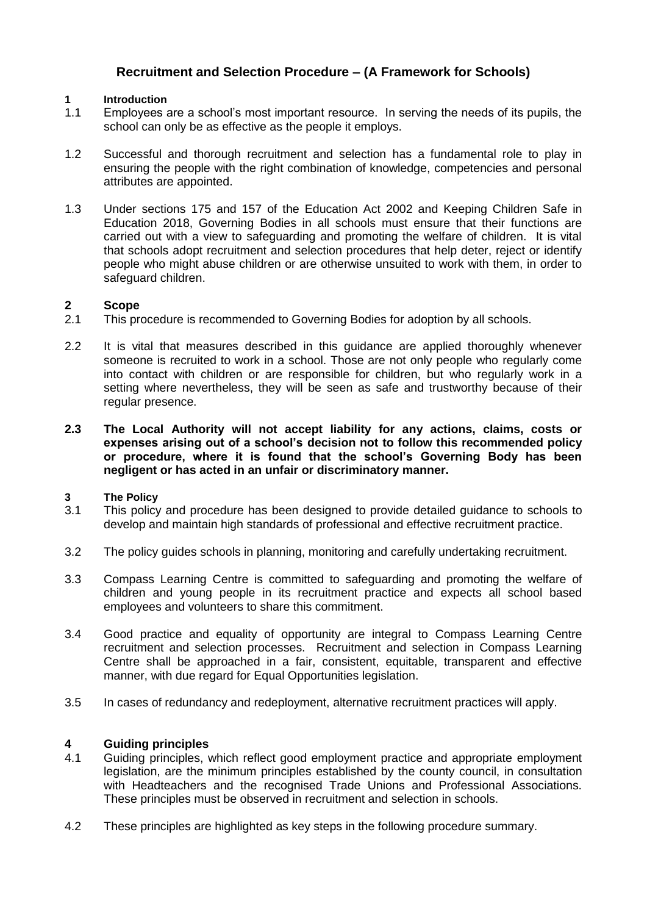## **Recruitment and Selection Procedure – (A Framework for Schools)**

## **1 Introduction**

- 1.1 Employees are a school's most important resource. In serving the needs of its pupils, the school can only be as effective as the people it employs.
- 1.2 Successful and thorough recruitment and selection has a fundamental role to play in ensuring the people with the right combination of knowledge, competencies and personal attributes are appointed.
- 1.3 Under sections 175 and 157 of the Education Act 2002 and Keeping Children Safe in Education 2018, Governing Bodies in all schools must ensure that their functions are carried out with a view to safeguarding and promoting the welfare of children. It is vital that schools adopt recruitment and selection procedures that help deter, reject or identify people who might abuse children or are otherwise unsuited to work with them, in order to safeguard children.

## **2 Scope**

- 2.1 This procedure is recommended to Governing Bodies for adoption by all schools.
- 2.2 It is vital that measures described in this guidance are applied thoroughly whenever someone is recruited to work in a school. Those are not only people who regularly come into contact with children or are responsible for children, but who regularly work in a setting where nevertheless, they will be seen as safe and trustworthy because of their regular presence.
- **2.3 The Local Authority will not accept liability for any actions, claims, costs or expenses arising out of a school's decision not to follow this recommended policy or procedure, where it is found that the school's Governing Body has been negligent or has acted in an unfair or discriminatory manner.**

## **3 The Policy**

- 3.1 This policy and procedure has been designed to provide detailed guidance to schools to develop and maintain high standards of professional and effective recruitment practice.
- 3.2 The policy guides schools in planning, monitoring and carefully undertaking recruitment.
- 3.3 Compass Learning Centre is committed to safeguarding and promoting the welfare of children and young people in its recruitment practice and expects all school based employees and volunteers to share this commitment.
- 3.4 Good practice and equality of opportunity are integral to Compass Learning Centre recruitment and selection processes. Recruitment and selection in Compass Learning Centre shall be approached in a fair, consistent, equitable, transparent and effective manner, with due regard for Equal Opportunities legislation.
- 3.5 In cases of redundancy and redeployment, alternative recruitment practices will apply.

## **4 Guiding principles**

- 4.1 Guiding principles, which reflect good employment practice and appropriate employment legislation, are the minimum principles established by the county council, in consultation with Headteachers and the recognised Trade Unions and Professional Associations. These principles must be observed in recruitment and selection in schools.
- 4.2 These principles are highlighted as key steps in the following procedure summary.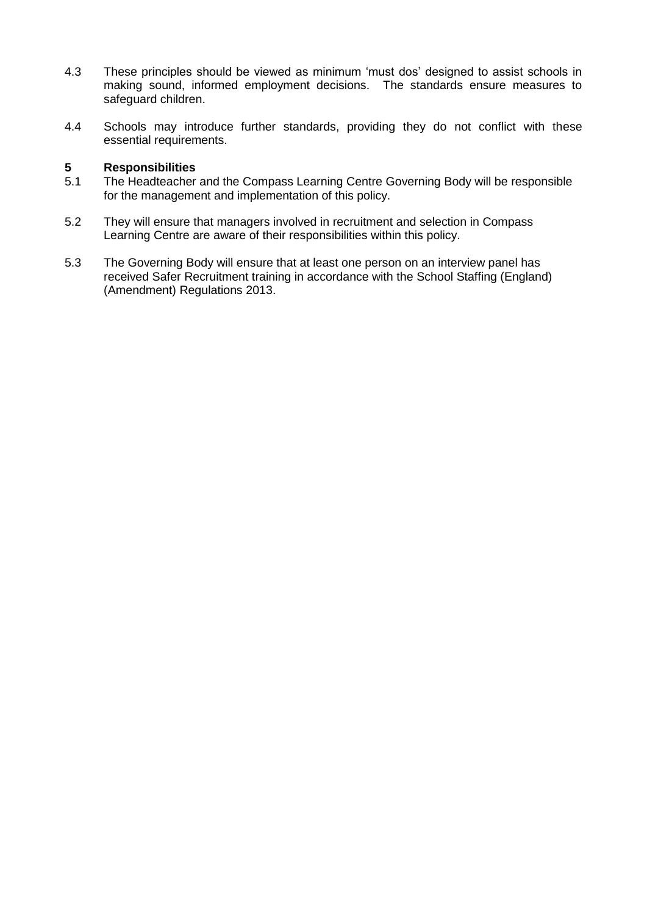- 4.3 These principles should be viewed as minimum 'must dos' designed to assist schools in making sound, informed employment decisions. The standards ensure measures to safeguard children.
- 4.4 Schools may introduce further standards, providing they do not conflict with these essential requirements.

## **5 Responsibilities**

- 5.1 The Headteacher and the Compass Learning Centre Governing Body will be responsible for the management and implementation of this policy.
- 5.2 They will ensure that managers involved in recruitment and selection in Compass Learning Centre are aware of their responsibilities within this policy.
- 5.3 The Governing Body will ensure that at least one person on an interview panel has received Safer Recruitment training in accordance with the School Staffing (England) (Amendment) Regulations 2013.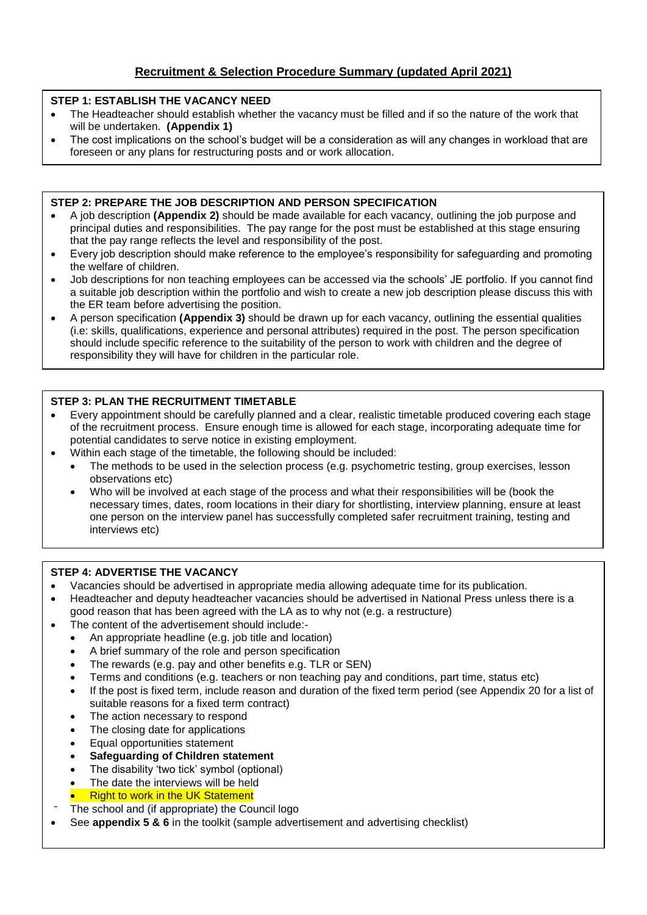## **STEP 1: ESTABLISH THE VACANCY NEED**

- The Headteacher should establish whether the vacancy must be filled and if so the nature of the work that will be undertaken. **(Appendix 1)**
- The cost implications on the school's budget will be a consideration as will any changes in workload that are foreseen or any plans for restructuring posts and or work allocation.

#### **STEP 2: PREPARE THE JOB DESCRIPTION AND PERSON SPECIFICATION**

- A job description **(Appendix 2)** should be made available for each vacancy, outlining the job purpose and principal duties and responsibilities. The pay range for the post must be established at this stage ensuring that the pay range reflects the level and responsibility of the post.
- Every job description should make reference to the employee's responsibility for safeguarding and promoting the welfare of children.
- Job descriptions for non teaching employees can be accessed via the schools' JE portfolio. If you cannot find a suitable job description within the portfolio and wish to create a new job description please discuss this with the ER team before advertising the position.
- A person specification **(Appendix 3)** should be drawn up for each vacancy, outlining the essential qualities (i.e: skills, qualifications, experience and personal attributes) required in the post. The person specification should include specific reference to the suitability of the person to work with children and the degree of responsibility they will have for children in the particular role.

#### **STEP 3: PLAN THE RECRUITMENT TIMETABLE**

- Every appointment should be carefully planned and a clear, realistic timetable produced covering each stage of the recruitment process. Ensure enough time is allowed for each stage, incorporating adequate time for potential candidates to serve notice in existing employment.
	- Within each stage of the timetable, the following should be included:
		- The methods to be used in the selection process (e.g. psychometric testing, group exercises, lesson observations etc)
		- Who will be involved at each stage of the process and what their responsibilities will be (book the necessary times, dates, room locations in their diary for shortlisting, interview planning, ensure at least one person on the interview panel has successfully completed safer recruitment training, testing and interviews etc)

#### **STEP 4: ADVERTISE THE VACANCY**

- Vacancies should be advertised in appropriate media allowing adequate time for its publication.
- Headteacher and deputy headteacher vacancies should be advertised in National Press unless there is a good reason that has been agreed with the LA as to why not (e.g. a restructure)
- The content of the advertisement should include:-
	- An appropriate headline (e.g. job title and location)
	- A brief summary of the role and person specification
	- The rewards (e.g. pay and other benefits e.g. TLR or SEN)
	- Terms and conditions (e.g. teachers or non teaching pay and conditions, part time, status etc)
	- If the post is fixed term, include reason and duration of the fixed term period (see Appendix 20 for a list of suitable reasons for a fixed term contract)
	- The action necessary to respond
	- The closing date for applications
	- Equal opportunities statement
	- **Safeguarding of Children statement**
	- The disability 'two tick' symbol (optional)
	- The date the interviews will be held
	- Right to work in the UK Statement
- The school and (if appropriate) the Council logo
- See **appendix 5 & 6** in the toolkit (sample advertisement and advertising checklist)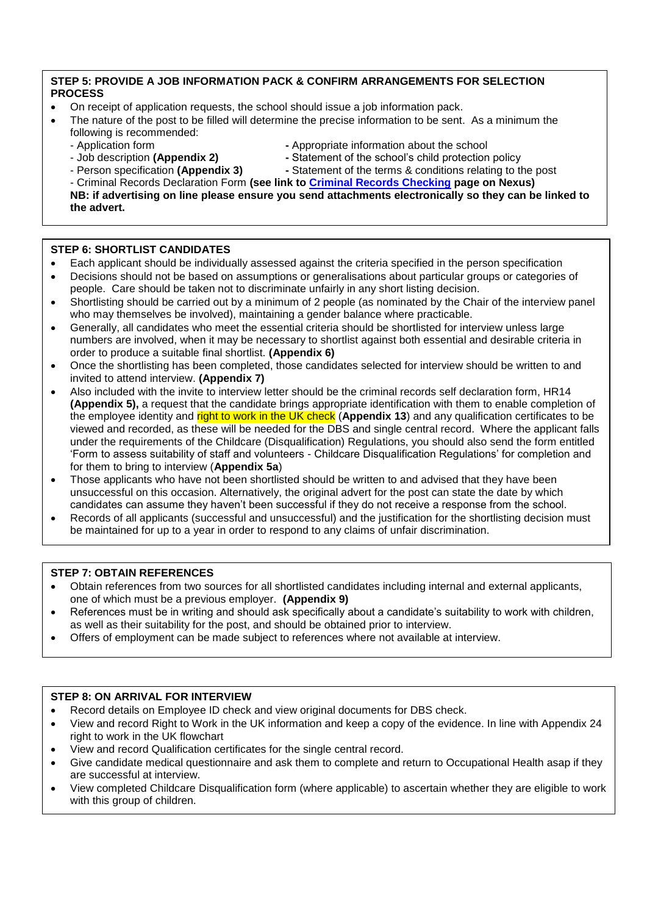#### **STEP 5: PROVIDE A JOB INFORMATION PACK & CONFIRM ARRANGEMENTS FOR SELECTION PROCESS**

- On receipt of application requests, the school should issue a job information pack.
- The nature of the post to be filled will determine the precise information to be sent. As a minimum the following is recommended:
	-
	- Job description **(Appendix 2) -** Statement of the school's child protection policy
	- Application form **-** Appropriate information about the school
		-
- 
- 
- Person specification **(Appendix 3) -** Statement of the terms & conditions relating to the post

- Criminal Records Declaration Form **(see link to [Criminal Records Checking](https://www.dorsetforyou.com/398213?detailid=399150) page on Nexus) NB: if advertising on line please ensure you send attachments electronically so they can be linked to the advert.**

#### **STEP 6: SHORTLIST CANDIDATES**

- Each applicant should be individually assessed against the criteria specified in the person specification
- Decisions should not be based on assumptions or generalisations about particular groups or categories of people. Care should be taken not to discriminate unfairly in any short listing decision.
- Shortlisting should be carried out by a minimum of 2 people (as nominated by the Chair of the interview panel who may themselves be involved), maintaining a gender balance where practicable.
- Generally, all candidates who meet the essential criteria should be shortlisted for interview unless large numbers are involved, when it may be necessary to shortlist against both essential and desirable criteria in order to produce a suitable final shortlist. **(Appendix 6)**
- Once the shortlisting has been completed, those candidates selected for interview should be written to and invited to attend interview. **(Appendix 7)**
- Also included with the invite to interview letter should be the criminal records self declaration form, HR14 **(Appendix 5),** a request that the candidate brings appropriate identification with them to enable completion of the employee identity and right to work in the UK check (**Appendix 13**) and any qualification certificates to be viewed and recorded, as these will be needed for the DBS and single central record. Where the applicant falls under the requirements of the Childcare (Disqualification) Regulations, you should also send the form entitled 'Form to assess suitability of staff and volunteers - Childcare Disqualification Regulations' for completion and for them to bring to interview (**Appendix 5a**)
- Those applicants who have not been shortlisted should be written to and advised that they have been unsuccessful on this occasion. Alternatively, the original advert for the post can state the date by which candidates can assume they haven't been successful if they do not receive a response from the school.
- Records of all applicants (successful and unsuccessful) and the justification for the shortlisting decision must be maintained for up to a year in order to respond to any claims of unfair discrimination.

#### **STEP 7: OBTAIN REFERENCES**

- Obtain references from two sources for all shortlisted candidates including internal and external applicants, one of which must be a previous employer. **(Appendix 9)**
- References must be in writing and should ask specifically about a candidate's suitability to work with children, as well as their suitability for the post, and should be obtained prior to interview.
- Offers of employment can be made subject to references where not available at interview.

#### **STEP 8: ON ARRIVAL FOR INTERVIEW**

- Record details on Employee ID check and view original documents for DBS check.
- View and record Right to Work in the UK information and keep a copy of the evidence. In line with Appendix 24 right to work in the UK flowchart
- View and record Qualification certificates for the single central record.
- Give candidate medical questionnaire and ask them to complete and return to Occupational Health asap if they are successful at interview.
- View completed Childcare Disqualification form (where applicable) to ascertain whether they are eligible to work with this group of children.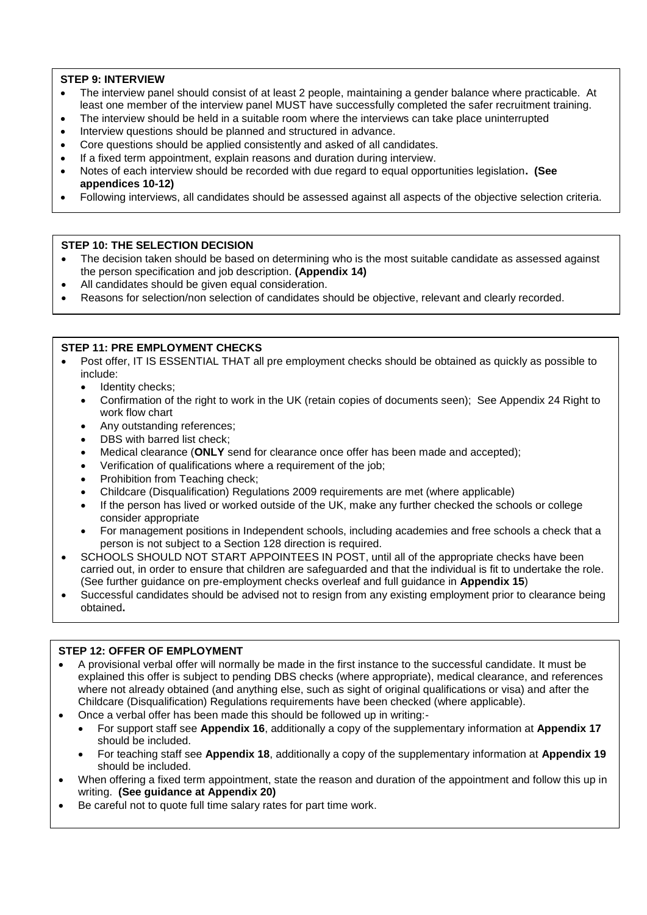## **STEP 9: INTERVIEW**

- The interview panel should consist of at least 2 people, maintaining a gender balance where practicable. At least one member of the interview panel MUST have successfully completed the safer recruitment training.
- The interview should be held in a suitable room where the interviews can take place uninterrupted
- Interview questions should be planned and structured in advance.
- Core questions should be applied consistently and asked of all candidates.
- If a fixed term appointment, explain reasons and duration during interview.
- Notes of each interview should be recorded with due regard to equal opportunities legislation**. (See appendices 10-12)**
- Following interviews, all candidates should be assessed against all aspects of the objective selection criteria.

#### **STEP 10: THE SELECTION DECISION**

- The decision taken should be based on determining who is the most suitable candidate as assessed against the person specification and job description. **(Appendix 14)**
- All candidates should be given equal consideration.
- Reasons for selection/non selection of candidates should be objective, relevant and clearly recorded.

#### **STEP 11: PRE EMPLOYMENT CHECKS**

- Post offer, IT IS ESSENTIAL THAT all pre employment checks should be obtained as quickly as possible to include:
	- Identity checks;
	- Confirmation of the right to work in the UK (retain copies of documents seen); See Appendix 24 Right to work flow chart
	- Any outstanding references;
	- DBS with barred list check:
	- Medical clearance (**ONLY** send for clearance once offer has been made and accepted);
	- Verification of qualifications where a requirement of the job;
	- Prohibition from Teaching check;
	- Childcare (Disqualification) Regulations 2009 requirements are met (where applicable)
	- If the person has lived or worked outside of the UK, make any further checked the schools or college consider appropriate
	- For management positions in Independent schools, including academies and free schools a check that a person is not subject to a Section 128 direction is required.
- SCHOOLS SHOULD NOT START APPOINTEES IN POST, until all of the appropriate checks have been carried out, in order to ensure that children are safeguarded and that the individual is fit to undertake the role. (See further guidance on pre-employment checks overleaf and full guidance in **Appendix 15**)
- Successful candidates should be advised not to resign from any existing employment prior to clearance being obtained**.**

#### **STEP 12: OFFER OF EMPLOYMENT**

- A provisional verbal offer will normally be made in the first instance to the successful candidate. It must be explained this offer is subject to pending DBS checks (where appropriate), medical clearance, and references where not already obtained (and anything else, such as sight of original qualifications or visa) and after the Childcare (Disqualification) Regulations requirements have been checked (where applicable).
- Once a verbal offer has been made this should be followed up in writing:-
	- For support staff see **Appendix 16**, additionally a copy of the supplementary information at **Appendix 17** should be included.
	- For teaching staff see **Appendix 18**, additionally a copy of the supplementary information at **Appendix 19** should be included.
- When offering a fixed term appointment, state the reason and duration of the appointment and follow this up in writing. **(See guidance at Appendix 20)**
- Be careful not to quote full time salary rates for part time work.